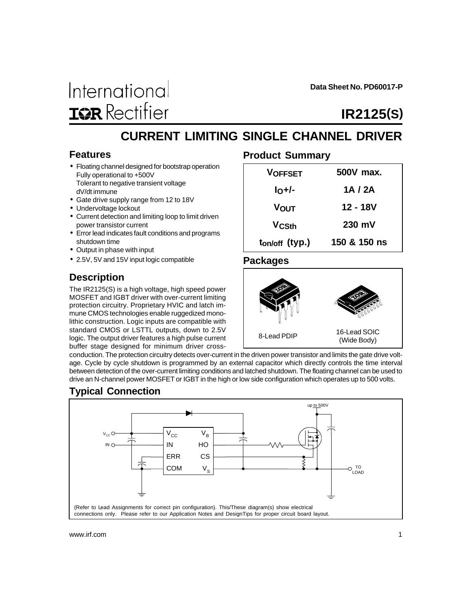

**Data Sheet No. PD60017-P**

# **IR2125(S)**

## **CURRENT LIMITING SINGLE CHANNEL DRIVER**

#### **Features**

- Floating channel designed for bootstrap operation Fully operational to +500V Tolerant to negative transient voltage dV/dt immune
- Gate drive supply range from 12 to 18V
- Undervoltage lockout
- Current detection and limiting loop to limit driven power transistor current
- Error lead indicates fault conditions and programs shutdown time
- Output in phase with input
- 2.5V, 5V and 15V input logic compatible

## **Description**

The IR2125(S) is a high voltage, high speed power MOSFET and IGBT driver with over-current limiting protection circuitry. Proprietary HVIC and latch immune CMOS technologies enable ruggedized monolithic construction. Logic inputs are compatible with standard CMOS or LSTTL outputs, down to 2.5V logic. The output driver features a high pulse current buffer stage designed for minimum driver cross-

### **Product Summary**

| <b>VOFFSET</b>             | 500V max.        |
|----------------------------|------------------|
| $IO+/-$                    | 1A / 2A          |
| Vουτ                       | 12 - 18V         |
| <b>V<sub>CSth</sub></b>    | $230 \text{ mV}$ |
| t <sub>on/off</sub> (typ.) | 150 & 150 ns     |

#### **Packages**



conduction. The protection circuitry detects over-current in the driven power transistor and limits the gate drive voltage. Cycle by cycle shutdown is programmed by an external capacitor which directly controls the time interval between detection of the over-current limiting conditions and latched shutdown. The floating channel can be used to drive an N-channel power MOSFET or IGBT in the high or low side configuration which operates up to 500 volts.

## **Typical Connection**

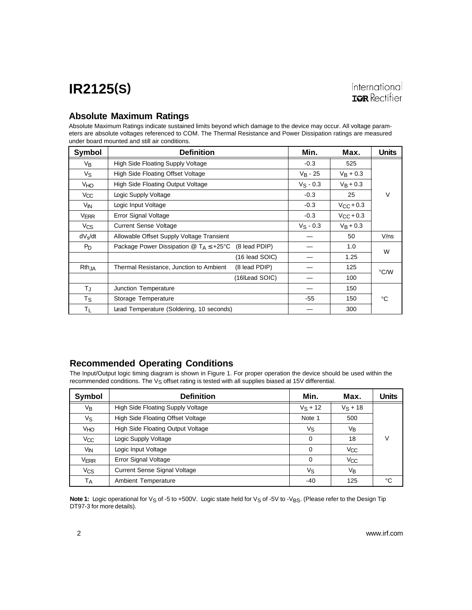#### **Absolute Maximum Ratings**

Absolute Maximum Ratings indicate sustained limits beyond which damage to the device may occur. All voltage parameters are absolute voltages referenced to COM. The Thermal Resistance and Power Dissipation ratings are measured under board mounted and still air conditions.

| Symbol              | <b>Definition</b>                                                                     | Min.           | Max.        | <b>Units</b>       |         |
|---------------------|---------------------------------------------------------------------------------------|----------------|-------------|--------------------|---------|
| V <sub>B</sub>      | <b>High Side Floating Supply Voltage</b>                                              |                | $-0.3$      | 525                |         |
| Vs                  | High Side Floating Offset Voltage                                                     |                | $V_B - 25$  | $V_B + 0.3$        |         |
| V <sub>HO</sub>     | <b>High Side Floating Output Voltage</b>                                              |                | $V_S - 0.3$ | $V_B + 0.3$        |         |
| V <sub>CC</sub>     | Logic Supply Voltage                                                                  |                | $-0.3$      | 25                 | V       |
| V <sub>IN</sub>     | Logic Input Voltage                                                                   |                | $-0.3$      | $V_{\rm CC}$ + 0.3 |         |
| <b>VERR</b>         | Error Signal Voltage                                                                  |                | $-0.3$      | $V_{\rm CC}$ + 0.3 |         |
| $V_{CS}$            | <b>Current Sense Voltage</b>                                                          |                | $V_S - 0.3$ | $V_B + 0.3$        |         |
| dV <sub>s</sub> /dt | Allowable Offset Supply Voltage Transient                                             |                |             | 50                 | $V$ /ns |
| $P_D$               | Package Power Dissipation $\textcircled{a}$ T <sub>A</sub> $\leq$ +25°C (8 lead PDIP) |                |             | 1.0                | W       |
|                     |                                                                                       | (16 lead SOIC) |             | 1.25               |         |
| Rth <sub>JA</sub>   | Thermal Resistance, Junction to Ambient                                               | (8 lead PDIP)  |             | 125                | °C/W    |
|                     |                                                                                       | (16 Lead SOIC) |             | 100                |         |
| TJ                  | Junction Temperature                                                                  |                |             | 150                |         |
| Ts                  | Storage Temperature                                                                   |                | -55         | 150                | °C      |
| TL                  | Lead Temperature (Soldering, 10 seconds)                                              |                |             | 300                |         |

### **Recommended Operating Conditions**

The Input/Output logic timing diagram is shown in Figure 1. For proper operation the device should be used within the recommended conditions. The V<sub>S</sub> offset rating is tested with all supplies biased at 15V differential.

| Symbol          | <b>Definition</b>                   | Min.       | Max.       | Units |
|-----------------|-------------------------------------|------------|------------|-------|
| Vв              | High Side Floating Supply Voltage   | $V_S + 12$ | $V_S + 18$ |       |
| Vs              | High Side Floating Offset Voltage   | Note 1     | 500        |       |
| VHO             | High Side Floating Output Voltage   | Vs         | Vв         |       |
| V <sub>CC</sub> | Logic Supply Voltage                | $\Omega$   | 18         | V     |
| V <sub>IN</sub> | Logic Input Voltage                 | $\Omega$   | Vcc        |       |
| <b>VERR</b>     | Error Signal Voltage                | $\Omega$   | Vcc        |       |
| Vcs             | <b>Current Sense Signal Voltage</b> | Vs         | Vв         |       |
| Тд              | <b>Ambient Temperature</b>          | $-40$      | 125        | °C    |

Note 1: Logic operational for V<sub>S</sub> of -5 to +500V. Logic state held for V<sub>S</sub> of -5V to -V<sub>BS</sub>. (Please refer to the Design Tip DT97-3 for more details).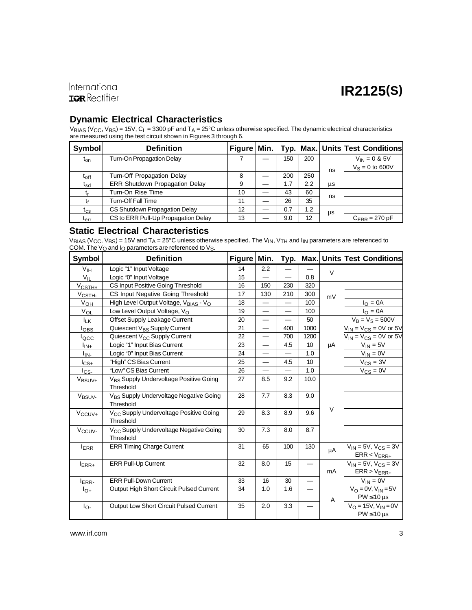### International **IQR** Rectifier

### **Dynamic Electrical Characteristics**

 $V_{\rm BIAS}$  (V<sub>CC</sub>, V<sub>BS</sub>) = 15V, C<sub>L</sub> = 3300 pF and T<sub>A</sub> = 25°C unless otherwise specified. The dynamic electrical characteristics are measured using the test circuit shown in Figures 3 through 6.

| Symbol                        | <b>Definition</b>                     | <b>Figure</b> | Min. |     |     |    | Typ. Max. Units Test Conditions |
|-------------------------------|---------------------------------------|---------------|------|-----|-----|----|---------------------------------|
| t <sub>on</sub>               | Turn-On Propagation Delay             |               |      | 150 | 200 |    | $V_{IN} = 0$ & 5V               |
|                               |                                       |               |      |     |     | ns | $V_S = 0$ to 600V               |
| $\mathfrak{t}_{\mathsf{off}}$ | Turn-Off Propagation Delay            | 8             |      | 200 | 250 |    |                                 |
| t <sub>sd</sub>               | <b>ERR Shutdown Propagation Delay</b> | 9             |      | 1.7 | 2.2 | μs |                                 |
|                               | Turn-On Rise Time                     | 10            |      | 43  | 60  | ns |                                 |
|                               | <b>Turn-Off Fall Time</b>             | 11            |      | 26  | 35  |    |                                 |
| $\mathfrak{r}_{\mathrm{cs}}$  | CS Shutdown Propagation Delay         | 12            |      | 0.7 | 1.2 | μs |                                 |
| t <sub>err</sub>              | CS to ERR Pull-Up Propagation Delay   | 13            |      | 9.0 | 12  |    | $C_{\text{FRR}}$ = 270 pF       |

#### **Static Electrical Characteristics**

 $\rm{V_{BIAS}}$  (V $\rm{_{CC}}$ , V $\rm{_{BS}}$ ) = 15V and T $\rm{_{A}}$  = 25°C unless otherwise specified. The V $\rm{_{IN}},$  V $\rm{_{TH}}$  and I $\rm{_{IN}}$  parameters are referenced to COM. The V<sub>O</sub> and I<sub>O</sub> parameters are referenced to V<sub>S</sub>.

| <b>Symbol</b>        | <b>Definition</b>                                               | <b>Figure</b> | Min. |                          |      |        | Typ. Max. Units Test Conditions                     |
|----------------------|-----------------------------------------------------------------|---------------|------|--------------------------|------|--------|-----------------------------------------------------|
| V <sub>IH</sub>      | Logic "1" Input Voltage                                         | 14            | 2.2  |                          |      | $\vee$ |                                                     |
| $V_{IL}$             | Logic "0" Input Voltage                                         | 15            |      | $\overline{\phantom{0}}$ | 0.8  |        |                                                     |
| $V_{\text{CSTH+}}$   | CS Input Positive Going Threshold                               | 16            | 150  | 230                      | 320  |        |                                                     |
| V <sub>CSTH-</sub>   | CS Input Negative Going Threshold                               | 17            | 130  | 210                      | 300  | mV     |                                                     |
| $V_{\underline{OH}}$ | High Level Output Voltage, V <sub>BIAS</sub> - V <sub>O</sub>   | 18            |      |                          | 100  |        | $I_{\rm O} = 0A$                                    |
| VOL                  | Low Level Output Voltage, $V_{\Omega}$                          | 19            | —    | —                        | 100  |        | $IO = 0A$                                           |
| <b>I</b> LK          | Offset Supply Leakage Current                                   | 20            |      |                          | 50   |        | $V_B = V_S = 500V$                                  |
| lobs                 | Quiescent V <sub>BS</sub> Supply Current                        | 21            | —    | 400                      | 1000 |        | $V_{IN}$ = $V_{CS}$ = 0V or 5V                      |
| locc                 | Quiescent V <sub>CC</sub> Supply Current                        | 22            | —    | 700                      | 1200 |        | $V_{IN}$ = $V_{CS}$ = 0V or 5V                      |
| $I_{IN+}$            | Logic "1" Input Bias Current                                    | 23            |      | 4.5                      | 10   | μA     | $V_{IN} = 5V$                                       |
| l <sub>IN-</sub>     | Logic "0" Input Bias Current                                    | 24            | —    |                          | 1.0  |        | $V_{IN} = 0V$                                       |
| $I_{CS+}$            | "High" CS Bias Current                                          | 25            | —    | 4.5                      | 10   |        | $V_{CS} = 3V$                                       |
| $I_{CS}$             | "Low" CS Bias Current                                           | 26            |      |                          | 1.0  |        | $V_{CS} = 0V$                                       |
| V <sub>BSUV+</sub>   | V <sub>BS</sub> Supply Undervoltage Positive Going<br>Threshold | 27            | 8.5  | 9.2                      | 10.0 |        |                                                     |
| V <sub>BSUV-</sub>   | V <sub>BS</sub> Supply Undervoltage Negative Going<br>Threshold | 28            | 7.7  | 8.3                      | 9.0  |        |                                                     |
| $V_{\text{CCUV+}}$   | V <sub>CC</sub> Supply Undervoltage Positive Going<br>Threshold | 29            | 8.3  | 8.9                      | 9.6  | $\vee$ |                                                     |
| Vccuv-               | V <sub>CC</sub> Supply Undervoltage Negative Going<br>Threshold | 30            | 7.3  | 8.0                      | 8.7  |        |                                                     |
| <b>IERR</b>          | <b>ERR Timing Charge Current</b>                                | 31            | 65   | 100                      | 130  | μA     | $V_{IN} = 5V, V_{CS} = 3V$<br>$ERR < V_{ERR+}$      |
| $I_{ERR+}$           | <b>ERR Pull-Up Current</b>                                      | 32            | 8.0  | 15                       |      | mA     | $V_{IN} = 5V$ , $V_{CS} = 3V$<br>$ERR > V_{ERR+}$   |
| $I_{ERR}$            | <b>ERR Pull-Down Current</b>                                    | 33            | 16   | 30                       |      |        | $V_{IN} = 0V$                                       |
| $I_{O+}$             | Output High Short Circuit Pulsed Current                        | 34            | 1.0  | 1.6                      |      | Α      | $V_O = 0V, V_{IN} = 5V$<br>$PW \leq 10 \,\mu s$     |
| $I_{\Omega}$         | Output Low Short Circuit Pulsed Current                         | 35            | 2.0  | 3.3                      |      |        | $V_O = 15V$ , $V_{IN} = 0V$<br>$PW \leq 10 \,\mu s$ |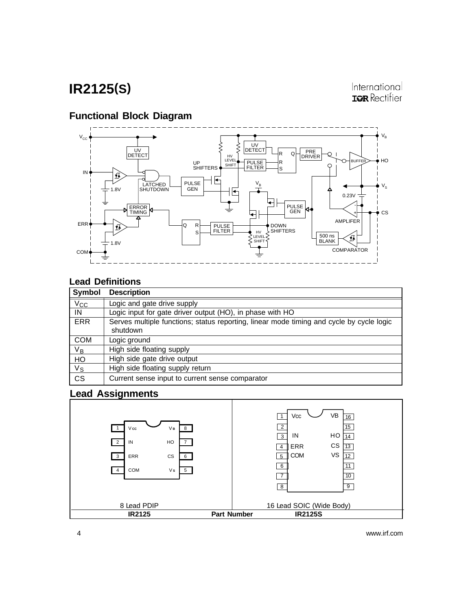## **Functional Block Diagram**



## **Lead Definitions**

| Symbol                 | <b>Description</b>                                                                                   |
|------------------------|------------------------------------------------------------------------------------------------------|
| $V_{CC}$               | Logic and gate drive supply                                                                          |
| IN                     | Logic input for gate driver output (HO), in phase with HO                                            |
| <b>ERR</b>             | Serves multiple functions; status reporting, linear mode timing and cycle by cycle logic<br>shutdown |
| <b>COM</b>             | Logic ground                                                                                         |
| $V_B$                  | High side floating supply                                                                            |
| HO                     | High side gate drive output                                                                          |
| $V_{\text{S}}$         | High side floating supply return                                                                     |
| $\overline{\text{cs}}$ | Current sense input to current sense comparator                                                      |

#### **Lead Assignments**

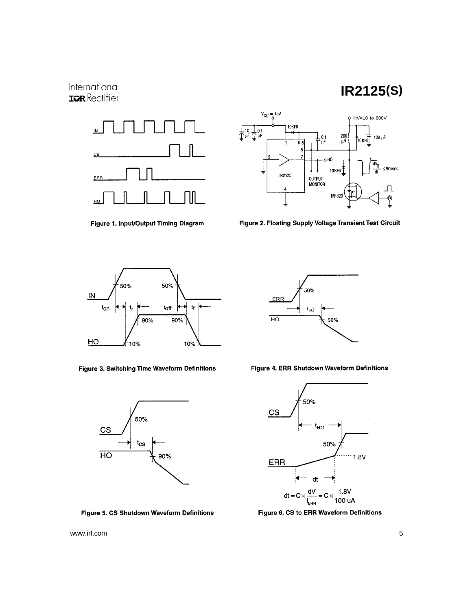### International **IQR** Rectifier

# **IR2125(S)**



Figure 1. Input/Output Timing Diagram



Figure 2. Floating Supply Voltage Transient Test Circuit



Figure 3. Switching Time Waveform Definitions



Figure 5. CS Shutdown Waveform Definitions



Figure 4. ERR Shutdown Waveform Definitions



Figure 6. CS to ERR Waveform Definitions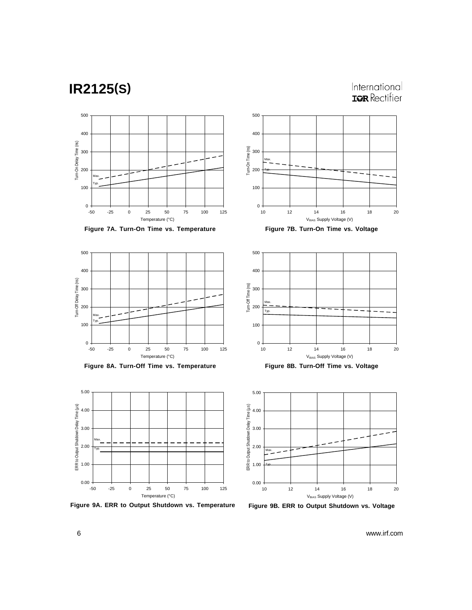International **IQR** Rectifier







**Figure 8A. Turn-Off Time vs. Temperature Figure 8B. Turn-Off Time vs. Voltage**



**Figure 9A. ERR to Output Shutdown vs. Temperature Figure 9B. ERR to Output Shutdown vs. Voltage**







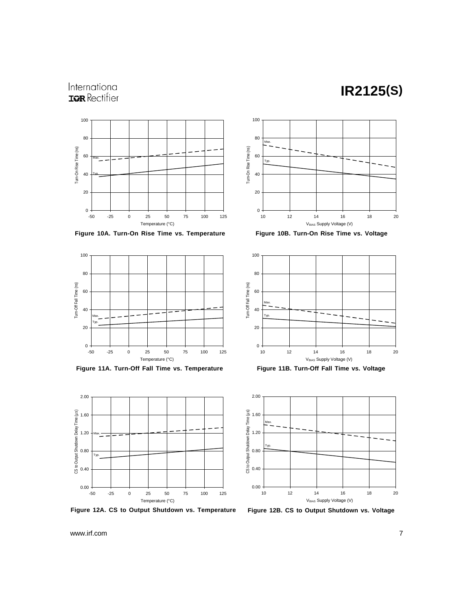## International **IQR** Rectifier



**Figure 10A. Turn-On Rise Time vs. Temperature Figure 10B. Turn-On Rise Time vs. Voltage**



**Figure 11A. Turn-Off Fall Time vs. Temperature Figure 11B. Turn-Off Fall Time vs. Voltage**



**Figure 12A. CS to Output Shutdown vs. Temperature Figure 12B. CS to Output Shutdown vs. Voltage**





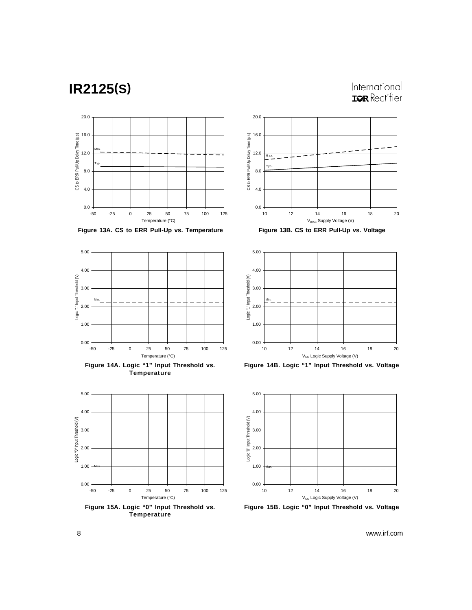### International **IQR** Rectifier



**Figure 13A. CS to ERR Pull-Up vs. Temperature Figure 13B. CS to ERR Pull-Up vs. Voltage**



**Figure 14A. Logic "1" Input Threshold vs. Temperature**



**Temperature**







**Figure 14B. Logic "1" Input Threshold vs. Voltage**



**Figure 15B. Logic "0" Input Threshold vs. Voltage**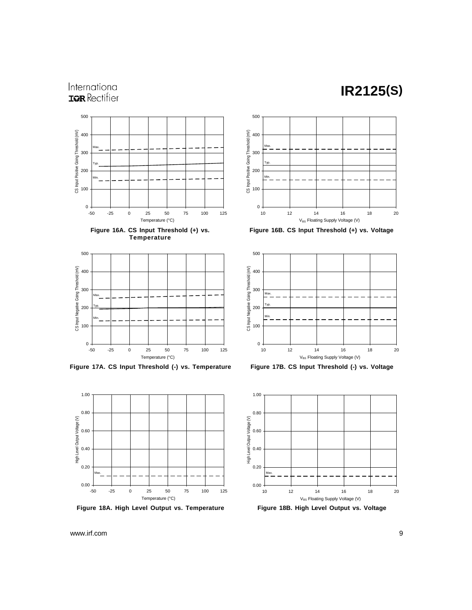## International **IQR** Rectifier







**Figure 17A. CS Input Threshold (-) vs. Temperature Figure 17B. CS Input Threshold (-) vs. Voltage**



**Figure 18A. High Level Output vs. Temperature Figure 18B. High Level Output vs. Voltage**



**Figure 16B. CS Input Threshold (+) vs. Voltage**





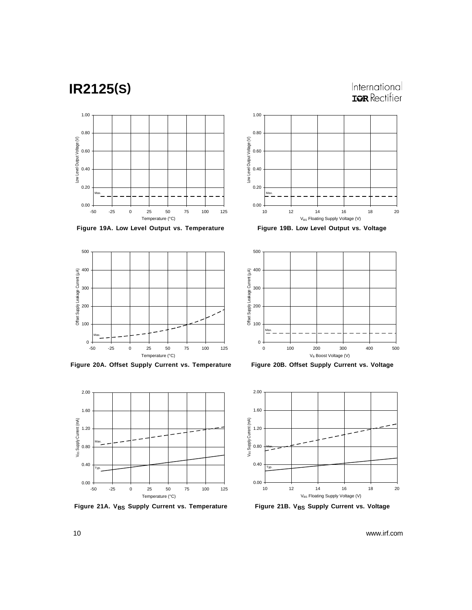International **IQR** Rectifier



**Figure 19A. Low Level Output vs. Temperature Figure 19B. Low Level Output vs. Voltage**



**Figure 20A. Offset Supply Current vs. Temperature Figure 20B. Offset Supply Current vs. Voltage**



Figure 21A. V<sub>BS</sub> Supply Current vs. Temperature Figure 21B. V<sub>BS</sub> Supply Current vs. Voltage





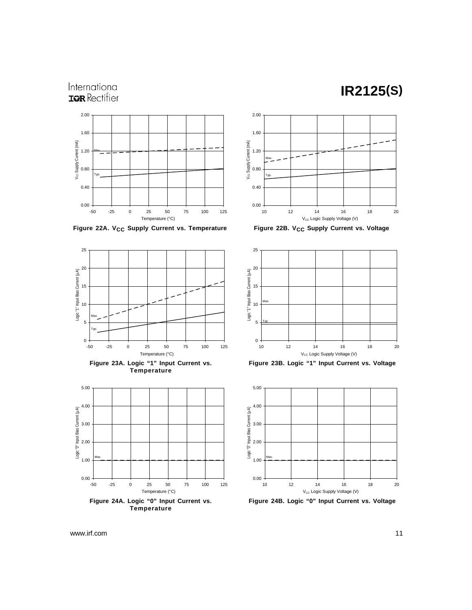### International **IQR** Rectifier





2.00





 $\overline{a}$ 

-50 -25 0 25 50 75 100 125 Temperature (°C)



**Figure 23B. Logic "1" Input Current vs. Voltage**



**Figure 24B. Logic "0" Input Current vs. Voltage**

www.irf.com 11

 $\mathbf{0}$ 

5

Max. Typ.

10

15

Logic "1" Input Bias Current (µA)

20

25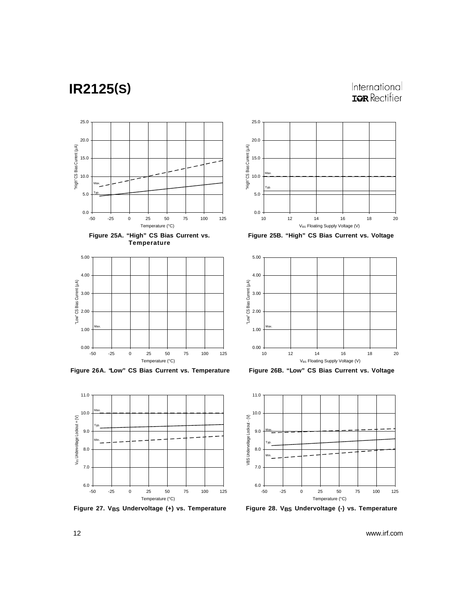### International **IQR** Rectifier







**Figure 26A. "Low" CS Bias Current vs. Temperature Figure 26B. "Low" CS Bias Current vs. Voltage**



Figure 27. V<sub>BS</sub> Undervoltage (+) vs. Temperature Figure 28. V<sub>BS</sub> Undervoltage (-) vs. Temperature







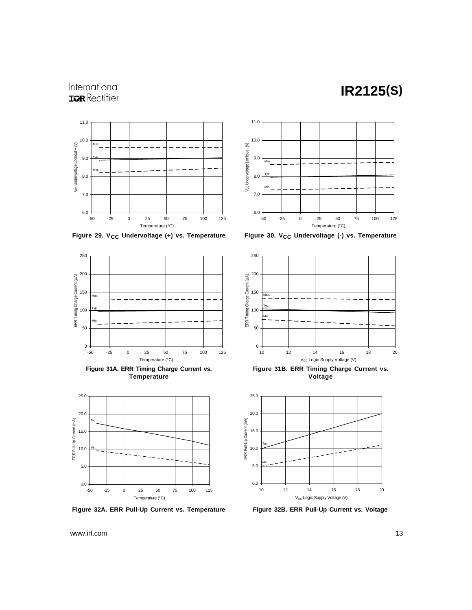## International **IQR** Rectifier



Figure 29. V<sub>CC</sub> Undervoltage (+) vs. Temperature Figure 30. V<sub>CC</sub> Undervoltage (-) vs. Temperature



**Figure 31A. ERR Timing Charge Current vs. Temperature**



**Figure 32A. ERR Pull-Up Current vs. Temperature Figure 32B. ERR Pull-Up Current vs. Voltage**





**Figure 31B. ERR Timing Charge Current vs. Voltage**

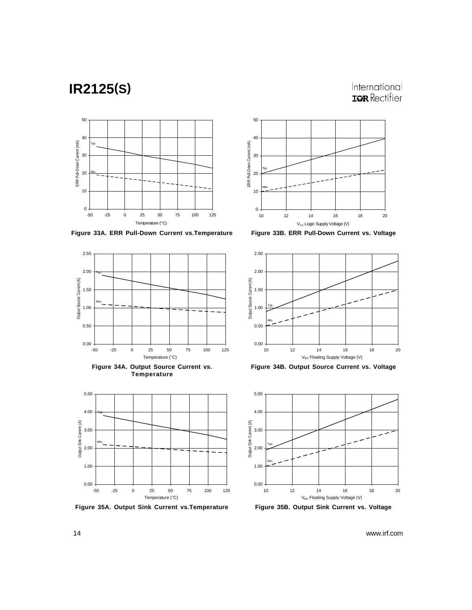International **IQR** Rectifier



**Figure 33A. ERR Pull-Down Current vs.Temperature Figure 33B. ERR Pull-Down Current vs. Voltage**



**Figure 34A. Output Source Current vs. Temperature**



**Figure 35A. Output Sink Current vs.Temperature Figure 35B. Output Sink Current vs. Voltage**





**Figure 34B. Output Source Current vs. Voltage**

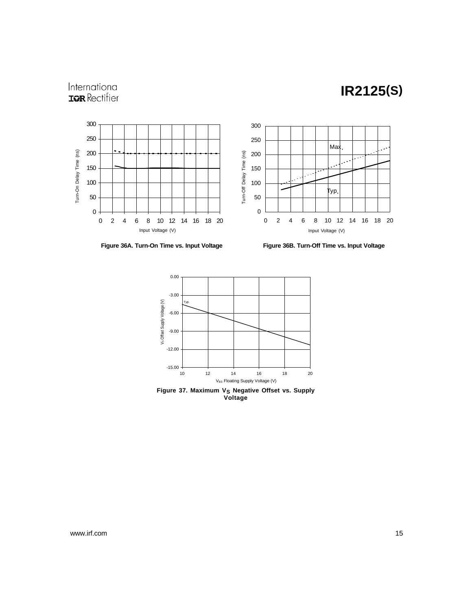### International **IQR** Rectifier



Figure 36A. Turn-On Time vs. Input Voltage Figure 36B. Turn-Off Time vs. Input Voltage



Figure 37. Maximum V<sub>S</sub> Negative Offset vs. Supply **Voltage**